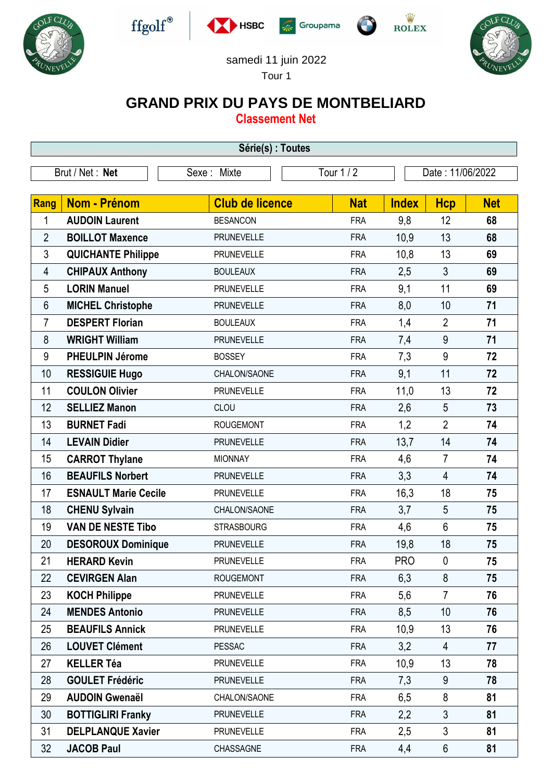











## samedi 11 juin 2022

Tour 1

## **GRAND PRIX DU PAYS DE MONTBELIARD**

**Classement Net**

| Série(s) : Toutes |                             |                        |            |              |                  |            |  |  |  |  |
|-------------------|-----------------------------|------------------------|------------|--------------|------------------|------------|--|--|--|--|
| Brut / Net: Net   |                             | Sexe: Mixte            | Tour 1 / 2 |              | Date: 11/06/2022 |            |  |  |  |  |
|                   |                             |                        |            |              |                  |            |  |  |  |  |
| Rang              | <b>Nom - Prénom</b>         | <b>Club de licence</b> | <b>Nat</b> | <b>Index</b> | <b>Hcp</b>       | <b>Net</b> |  |  |  |  |
| 1                 | <b>AUDOIN Laurent</b>       | <b>BESANCON</b>        | <b>FRA</b> | 9,8          | 12               | 68         |  |  |  |  |
| $\overline{2}$    | <b>BOILLOT Maxence</b>      | <b>PRUNEVELLE</b>      | <b>FRA</b> | 10,9         | 13               | 68         |  |  |  |  |
| 3                 | <b>QUICHANTE Philippe</b>   | <b>PRUNEVELLE</b>      | <b>FRA</b> | 10,8         | 13               | 69         |  |  |  |  |
| 4                 | <b>CHIPAUX Anthony</b>      | <b>BOULEAUX</b>        | <b>FRA</b> | 2,5          | 3                | 69         |  |  |  |  |
| 5                 | <b>LORIN Manuel</b>         | <b>PRUNEVELLE</b>      | <b>FRA</b> | 9,1          | 11               | 69         |  |  |  |  |
| 6                 | <b>MICHEL Christophe</b>    | <b>PRUNEVELLE</b>      | <b>FRA</b> | 8,0          | 10               | 71         |  |  |  |  |
| $\overline{7}$    | <b>DESPERT Florian</b>      | <b>BOULEAUX</b>        | <b>FRA</b> | 1,4          | $\overline{2}$   | 71         |  |  |  |  |
| 8                 | <b>WRIGHT William</b>       | <b>PRUNEVELLE</b>      | <b>FRA</b> | 7,4          | 9                | 71         |  |  |  |  |
| 9                 | <b>PHEULPIN Jérome</b>      | <b>BOSSEY</b>          | <b>FRA</b> | 7,3          | 9                | 72         |  |  |  |  |
| 10                | <b>RESSIGUIE Hugo</b>       | CHALON/SAONE           | <b>FRA</b> | 9,1          | 11               | 72         |  |  |  |  |
| 11                | <b>COULON Olivier</b>       | <b>PRUNEVELLE</b>      | <b>FRA</b> | 11,0         | 13               | 72         |  |  |  |  |
| 12                | <b>SELLIEZ Manon</b>        | CLOU                   | <b>FRA</b> | 2,6          | 5                | 73         |  |  |  |  |
| 13                | <b>BURNET Fadi</b>          | <b>ROUGEMONT</b>       | <b>FRA</b> | 1,2          | $\overline{2}$   | 74         |  |  |  |  |
| 14                | <b>LEVAIN Didier</b>        | <b>PRUNEVELLE</b>      | <b>FRA</b> | 13,7         | 14               | 74         |  |  |  |  |
| 15                | <b>CARROT Thylane</b>       | <b>MIONNAY</b>         | <b>FRA</b> | 4,6          | $\overline{7}$   | 74         |  |  |  |  |
| 16                | <b>BEAUFILS Norbert</b>     | <b>PRUNEVELLE</b>      | <b>FRA</b> | 3,3          | $\overline{4}$   | 74         |  |  |  |  |
| 17                | <b>ESNAULT Marie Cecile</b> | <b>PRUNEVELLE</b>      | <b>FRA</b> | 16,3         | 18               | 75         |  |  |  |  |
| 18                | <b>CHENU Sylvain</b>        | CHALON/SAONE           | <b>FRA</b> | 3,7          | 5                | 75         |  |  |  |  |
| 19                | <b>VAN DE NESTE Tibo</b>    | <b>STRASBOURG</b>      | <b>FRA</b> | 4,6          | 6                | 75         |  |  |  |  |
| 20                | <b>DESOROUX Dominique</b>   | <b>PRUNEVELLE</b>      | <b>FRA</b> | 19,8         | 18               | 75         |  |  |  |  |
| 21                | <b>HERARD Kevin</b>         | <b>PRUNEVELLE</b>      | <b>FRA</b> | <b>PRO</b>   | $\pmb{0}$        | 75         |  |  |  |  |
| 22                | <b>CEVIRGEN Alan</b>        | <b>ROUGEMONT</b>       | <b>FRA</b> | 6,3          | 8                | 75         |  |  |  |  |
| 23                | <b>KOCH Philippe</b>        | <b>PRUNEVELLE</b>      | <b>FRA</b> | 5,6          | $\overline{7}$   | 76         |  |  |  |  |
| 24                | <b>MENDES Antonio</b>       | <b>PRUNEVELLE</b>      | <b>FRA</b> | 8,5          | 10               | 76         |  |  |  |  |
| 25                | <b>BEAUFILS Annick</b>      | <b>PRUNEVELLE</b>      | <b>FRA</b> | 10,9         | 13               | 76         |  |  |  |  |
| 26                | <b>LOUVET Clément</b>       | <b>PESSAC</b>          | <b>FRA</b> | 3,2          | $\overline{4}$   | 77         |  |  |  |  |
| 27                | <b>KELLER Téa</b>           | <b>PRUNEVELLE</b>      | <b>FRA</b> | 10,9         | 13               | 78         |  |  |  |  |
| 28                | <b>GOULET Frédéric</b>      | <b>PRUNEVELLE</b>      | <b>FRA</b> | 7,3          | 9                | 78         |  |  |  |  |
| 29                | <b>AUDOIN Gwenaël</b>       | CHALON/SAONE           | <b>FRA</b> | 6,5          | 8                | 81         |  |  |  |  |
| 30                | <b>BOTTIGLIRI Franky</b>    | <b>PRUNEVELLE</b>      | <b>FRA</b> | 2,2          | 3                | 81         |  |  |  |  |
| 31                | <b>DELPLANQUE Xavier</b>    | <b>PRUNEVELLE</b>      | <b>FRA</b> | 2,5          | 3                | 81         |  |  |  |  |
| 32                | <b>JACOB Paul</b>           | CHASSAGNE              | <b>FRA</b> | 4,4          | 6                | 81         |  |  |  |  |